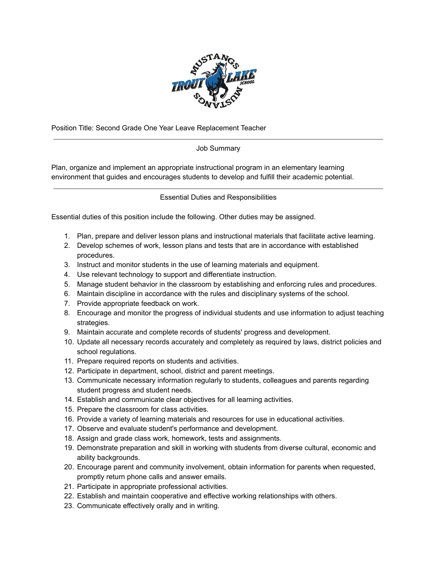

Position Title: Second Grade One Year Leave Replacement Teacher

## Job Summary

Plan, organize and implement an appropriate instructional program in an elementary learning environment that guides and encourages students to develop and fulfill their academic potential.

Essential Duties and Responsibilities

Essential duties of this position include the following. Other duties may be assigned.

- 1. Plan, prepare and deliver lesson plans and instructional materials that facilitate active learning.
- 2. Develop schemes of work, lesson plans and tests that are in accordance with established procedures.
- 3. Instruct and monitor students in the use of learning materials and equipment.
- 4. Use relevant technology to support and differentiate instruction.
- 5. Manage student behavior in the classroom by establishing and enforcing rules and procedures.
- 6. Maintain discipline in accordance with the rules and disciplinary systems of the school.
- 7. Provide appropriate feedback on work.
- 8. Encourage and monitor the progress of individual students and use information to adjust teaching strategies.
- 9. Maintain accurate and complete records of students' progress and development.
- 10. Update all necessary records accurately and completely as required by laws, district policies and school regulations.
- 11. Prepare required reports on students and activities.
- 12. Participate in department, school, district and parent meetings.
- 13. Communicate necessary information regularly to students, colleagues and parents regarding student progress and student needs.
- 14. Establish and communicate clear objectives for all learning activities.
- 15. Prepare the classroom for class activities.
- 16. Provide a variety of learning materials and resources for use in educational activities.
- 17. Observe and evaluate student's performance and development.
- 18. Assign and grade class work, homework, tests and assignments.
- 19. Demonstrate preparation and skill in working with students from diverse cultural, economic and ability backgrounds.
- 20. Encourage parent and community involvement, obtain information for parents when requested, promptly return phone calls and answer emails.
- 21. Participate in appropriate professional activities.
- 22. Establish and maintain cooperative and effective working relationships with others.
- 23. Communicate effectively orally and in writing.